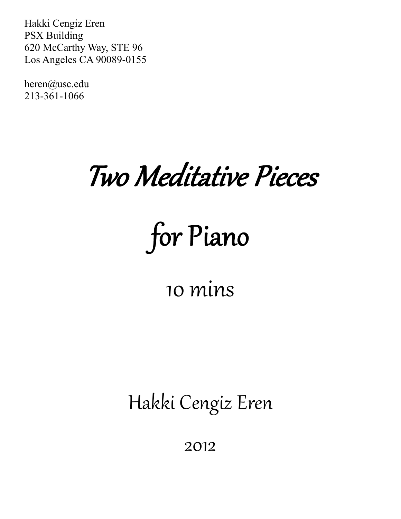Hakki Cengiz Eren PSX Building 620 McCarthy Way, STE 96 Los Angeles CA 90089-0155

heren@usc.edu 213-361-1066

## Two Meditative Pieces

# for Piano

### 10 mins

Hakki Cengiz Eren

2012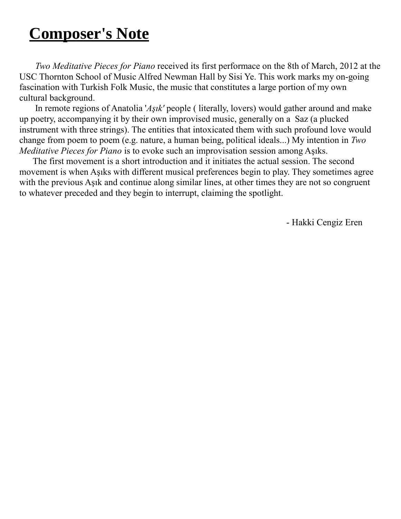#### **Composer's Note**

 *Two Meditative Pieces for Piano* received its first performace on the 8th of March, 2012 at the USC Thornton School of Music Alfred Newman Hall by Sisi Ye. This work marks my on-going fascination with Turkish Folk Music, the music that constitutes a large portion of my own cultural background.

 In remote regions of Anatolia '*Aşık'* people ( literally, lovers) would gather around and make up poetry, accompanying it by their own improvised music, generally on a Saz (a plucked instrument with three strings). The entities that intoxicated them with such profound love would change from poem to poem (e.g. nature, a human being, political ideals...) My intention in *Two Meditative Pieces for Piano* is to evoke such an improvisation session among Aşıks.

 The first movement is a short introduction and it initiates the actual session. The second movement is when Aşıks with different musical preferences begin to play. They sometimes agree with the previous Aşık and continue along similar lines, at other times they are not so congruent to whatever preceded and they begin to interrupt, claiming the spotlight.

- Hakki Cengiz Eren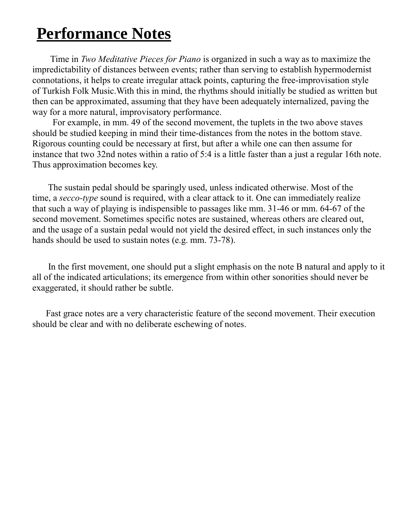#### **Performance Notes**

 Time in *Two Meditative Pieces for Piano* is organized in such a way as to maximize the impredictability of distances between events; rather than serving to establish hypermodernist connotations, it helps to create irregular attack points, capturing the free-improvisation style of Turkish Folk Music.With this in mind, the rhythms should initially be studied as written but then can be approximated, assuming that they have been adequately internalized, paving the way for a more natural, improvisatory performance.

 For example, in mm. 49 of the second movement, the tuplets in the two above staves should be studied keeping in mind their time-distances from the notes in the bottom stave. Rigorous counting could be necessary at first, but after a while one can then assume for instance that two 32nd notes within a ratio of 5:4 is a little faster than a just a regular 16th note. Thus approximation becomes key.

 The sustain pedal should be sparingly used, unless indicated otherwise. Most of the time, a *secco-type* sound is required, with a clear attack to it. One can immediately realize that such a way of playing is indispensible to passages like mm. 31-46 or mm. 64-67 of the second movement. Sometimes specific notes are sustained, whereas others are cleared out, and the usage of a sustain pedal would not yield the desired effect, in such instances only the hands should be used to sustain notes (e.g. mm. 73-78).

 In the first movement, one should put a slight emphasis on the note B natural and apply to it all of the indicated articulations; its emergence from within other sonorities should never be exaggerated, it should rather be subtle.

 Fast grace notes are a very characteristic feature of the second movement. Their execution should be clear and with no deliberate eschewing of notes.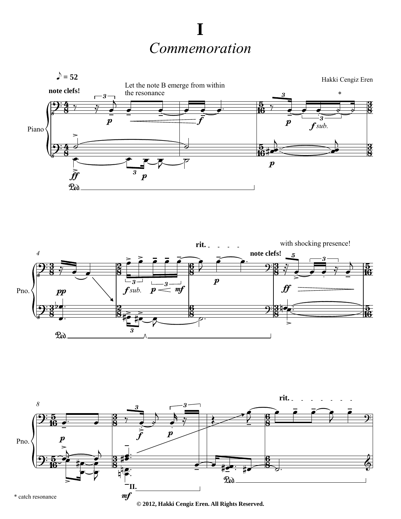#### **I** *Commemoration*







**© 2012, Hakki Cengiz Eren. All Rights Reserved.**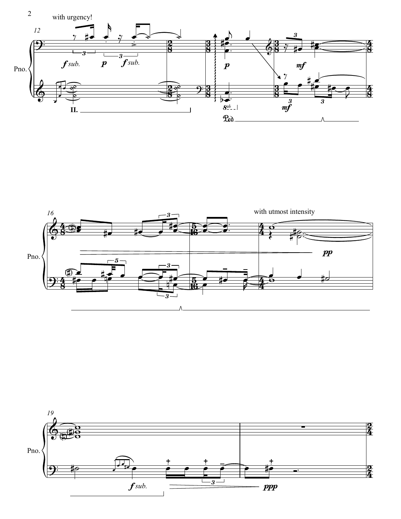



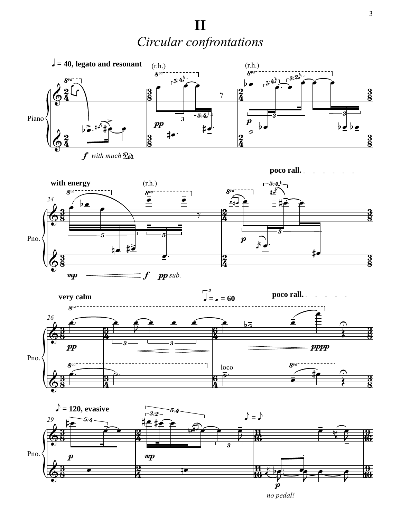**II** *Circular confrontations*

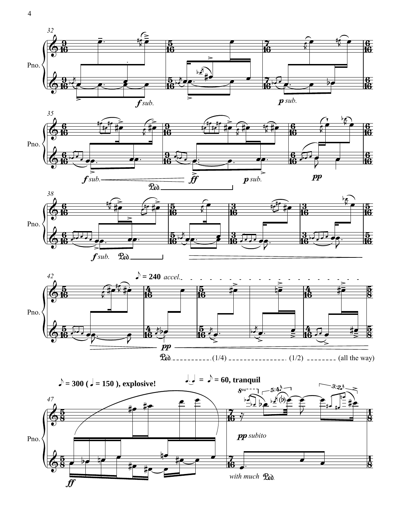







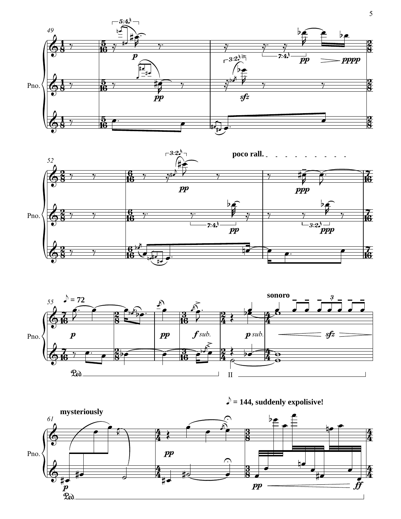







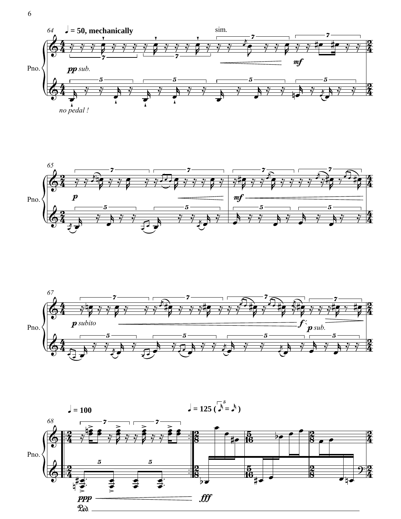





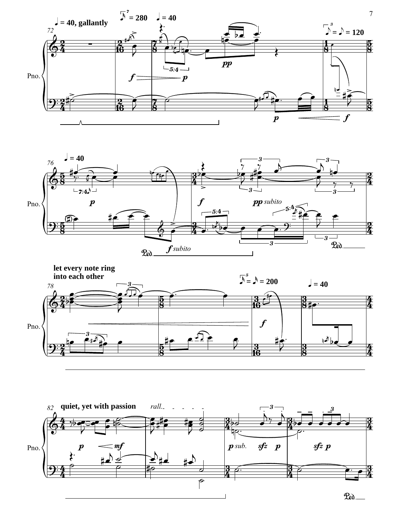





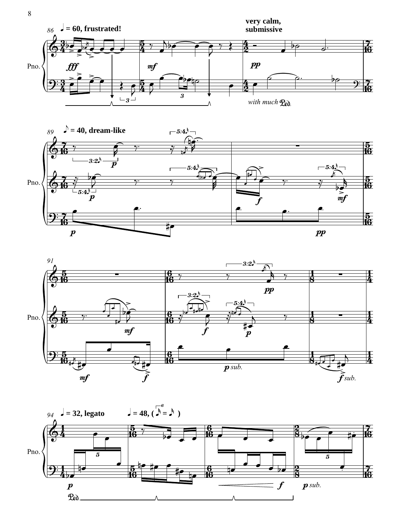





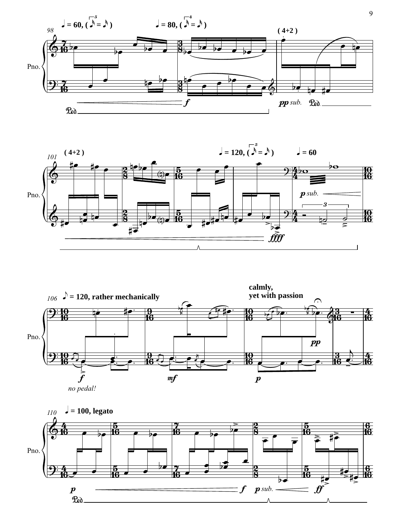





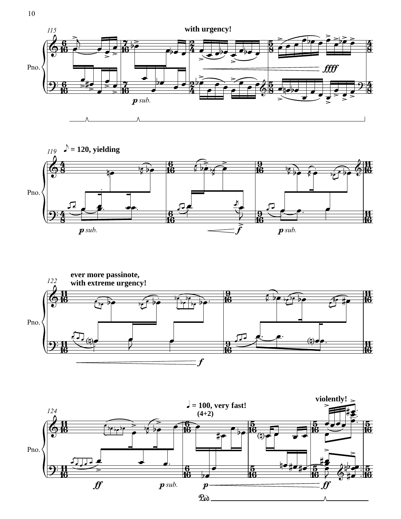





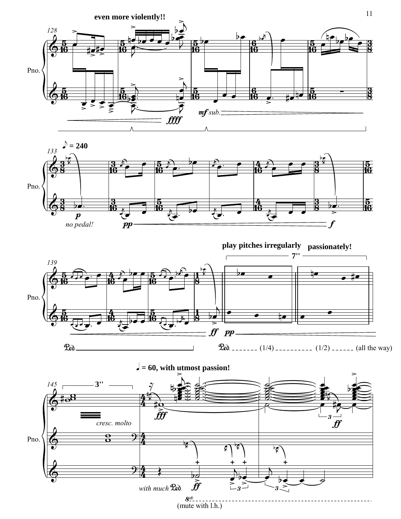